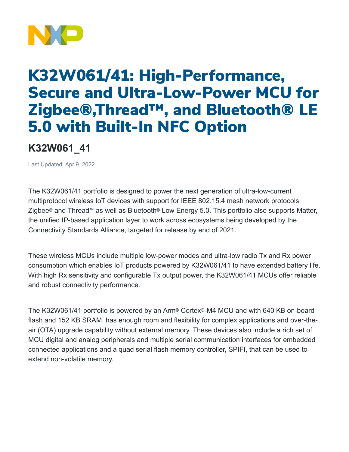

## K32W061/41: High-Performance, Secure and Ultra-Low-Power MCU for Zigbee®,Thread™ , and Bluetooth® LE 5.0 with Built-In NFC Option

## **K32W061\_41**

Last Updated: Apr 9, 2022

The K32W061/41 portfolio is designed to power the next generation of ultra-low-current multiprotocol wireless IoT devices with support for IEEE 802.15.4 mesh network protocols Zigbee® and Thread™ as well as Bluetooth® Low Energy 5.0. This portfolio also supports Matter, the unified IP-based application layer to work across ecosystems being developed by the Connectivity Standards Alliance, targeted for release by end of 2021.

These wireless MCUs include multiple low-power modes and ultra-low radio Tx and Rx power consumption which enables IoT products powered by K32W061/41 to have extended battery life. With high Rx sensitivity and configurable Tx output power, the K32W061/41 MCUs offer reliable and robust connectivity performance.

The K32W061/41 portfolio is powered by an Arm® Cortex®-M4 MCU and with 640 KB on-board flash and 152 KB SRAM, has enough room and flexibility for complex applications and over-theair (OTA) upgrade capability without external memory. These devices also include a rich set of MCU digital and analog peripherals and multiple serial communication interfaces for embedded connected applications and a quad serial flash memory controller, SPIFI, that can be used to extend non-volatile memory.